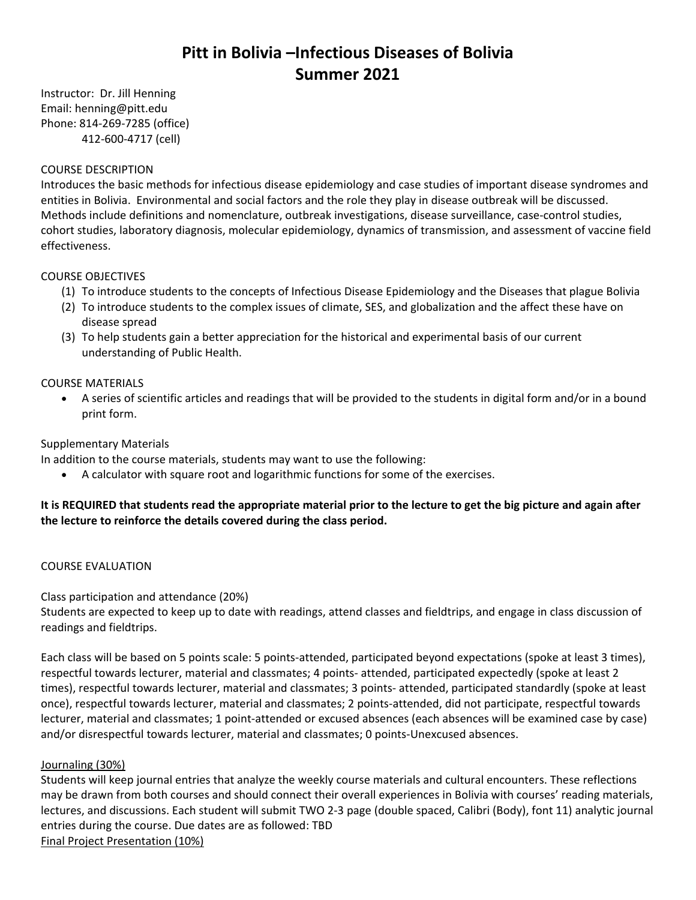# **Pitt in Bolivia –Infectious Diseases of Bolivia Summer 2021**

Instructor: Dr. Jill Henning Email: henning@pitt.edu Phone: 814-269-7285 (office) 412-600-4717 (cell)

## COURSE DESCRIPTION

Introduces the basic methods for infectious disease epidemiology and case studies of important disease syndromes and entities in Bolivia. Environmental and social factors and the role they play in disease outbreak will be discussed. Methods include definitions and nomenclature, outbreak investigations, disease surveillance, case-control studies, cohort studies, laboratory diagnosis, molecular epidemiology, dynamics of transmission, and assessment of vaccine field effectiveness.

## COURSE OBJECTIVES

- (1) To introduce students to the concepts of Infectious Disease Epidemiology and the Diseases that plague Bolivia
- (2) To introduce students to the complex issues of climate, SES, and globalization and the affect these have on disease spread
- (3) To help students gain a better appreciation for the historical and experimental basis of our current understanding of Public Health.

## COURSE MATERIALS

• A series of scientific articles and readings that will be provided to the students in digital form and/or in a bound print form.

# Supplementary Materials

In addition to the course materials, students may want to use the following:

• A calculator with square root and logarithmic functions for some of the exercises.

# **It is REQUIRED that students read the appropriate material prior to the lecture to get the big picture and again after the lecture to reinforce the details covered during the class period.**

#### COURSE EVALUATION

# Class participation and attendance (20%)

Students are expected to keep up to date with readings, attend classes and fieldtrips, and engage in class discussion of readings and fieldtrips.

Each class will be based on 5 points scale: 5 points-attended, participated beyond expectations (spoke at least 3 times), respectful towards lecturer, material and classmates; 4 points- attended, participated expectedly (spoke at least 2 times), respectful towards lecturer, material and classmates; 3 points- attended, participated standardly (spoke at least once), respectful towards lecturer, material and classmates; 2 points-attended, did not participate, respectful towards lecturer, material and classmates; 1 point-attended or excused absences (each absences will be examined case by case) and/or disrespectful towards lecturer, material and classmates; 0 points-Unexcused absences.

# Journaling (30%)

Students will keep journal entries that analyze the weekly course materials and cultural encounters. These reflections may be drawn from both courses and should connect their overall experiences in Bolivia with courses' reading materials, lectures, and discussions. Each student will submit TWO 2-3 page (double spaced, Calibri (Body), font 11) analytic journal entries during the course. Due dates are as followed: TBD Final Project Presentation (10%)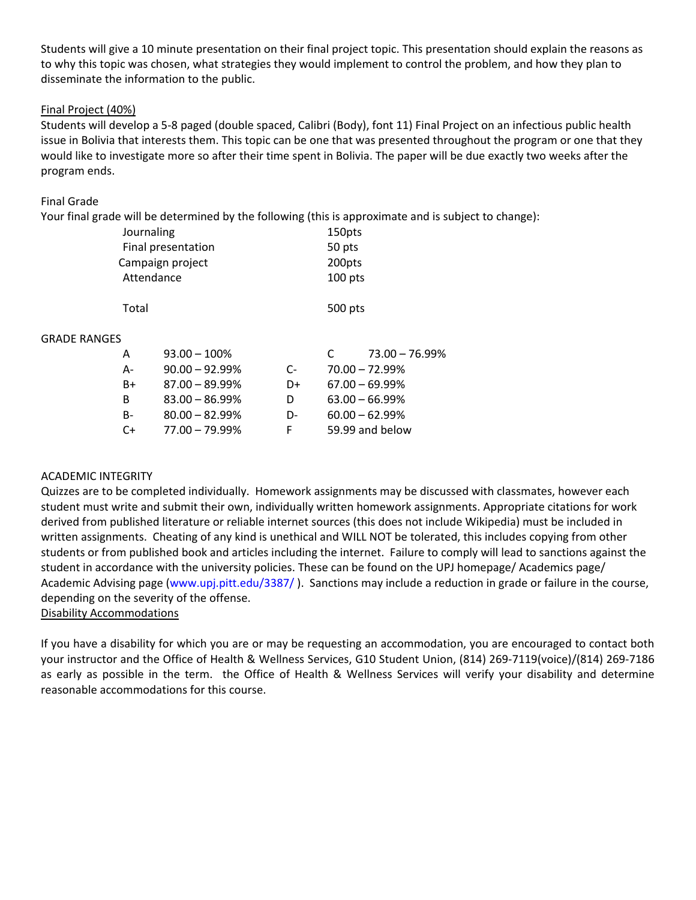Students will give a 10 minute presentation on their final project topic. This presentation should explain the reasons as to why this topic was chosen, what strategies they would implement to control the problem, and how they plan to disseminate the information to the public.

# Final Project (40%)

Students will develop a 5-8 paged (double spaced, Calibri (Body), font 11) Final Project on an infectious public health issue in Bolivia that interests them. This topic can be one that was presented throughout the program or one that they would like to investigate more so after their time spent in Bolivia. The paper will be due exactly two weeks after the program ends.

# Final Grade

Your final grade will be determined by the following (this is approximate and is subject to change):

|                     | Journaling         |                   | 150pts  |         |                   |
|---------------------|--------------------|-------------------|---------|---------|-------------------|
|                     | Final presentation |                   | 50 pts  |         |                   |
|                     | Campaign project   |                   | 200pts  |         |                   |
| Attendance          |                    |                   | 100 pts |         |                   |
|                     | Total              |                   |         | 500 pts |                   |
| <b>GRADE RANGES</b> |                    |                   |         |         |                   |
|                     | A                  | $93.00 - 100\%$   |         |         | $73.00 - 76.99%$  |
|                     | А-                 | $90.00 - 92.99\%$ | C-      |         | $70.00 - 72.99%$  |
|                     | B+                 | $87.00 - 89.99\%$ | D+      |         | $67.00 - 69.99\%$ |
|                     | B                  | $83.00 - 86.99\%$ | D       |         | $63.00 - 66.99%$  |
|                     | B-                 | $80.00 - 82.99\%$ | D-      |         | $60.00 - 62.99%$  |
|                     | C+                 | $77.00 - 79.99\%$ | F       |         | 59.99 and below   |

# ACADEMIC INTEGRITY

Quizzes are to be completed individually. Homework assignments may be discussed with classmates, however each student must write and submit their own, individually written homework assignments. Appropriate citations for work derived from published literature or reliable internet sources (this does not include Wikipedia) must be included in written assignments. Cheating of any kind is unethical and WILL NOT be tolerated, this includes copying from other students or from published book and articles including the internet. Failure to comply will lead to sanctions against the student in accordance with the university policies. These can be found on the UPJ homepage/ Academics page/ Academic Advising page [\(www.upj.pitt.edu/3387/](http://www.upj.pitt.edu/3387/) ). Sanctions may include a reduction in grade or failure in the course, depending on the severity of the offense.

Disability Accommodations

If you have a disability for which you are or may be requesting an accommodation, you are encouraged to contact both your instructor and the Office of Health & Wellness Services, G10 Student Union, (814) 269-7119(voice)/(814) 269-7186 as early as possible in the term. the Office of Health & Wellness Services will verify your disability and determine reasonable accommodations for this course.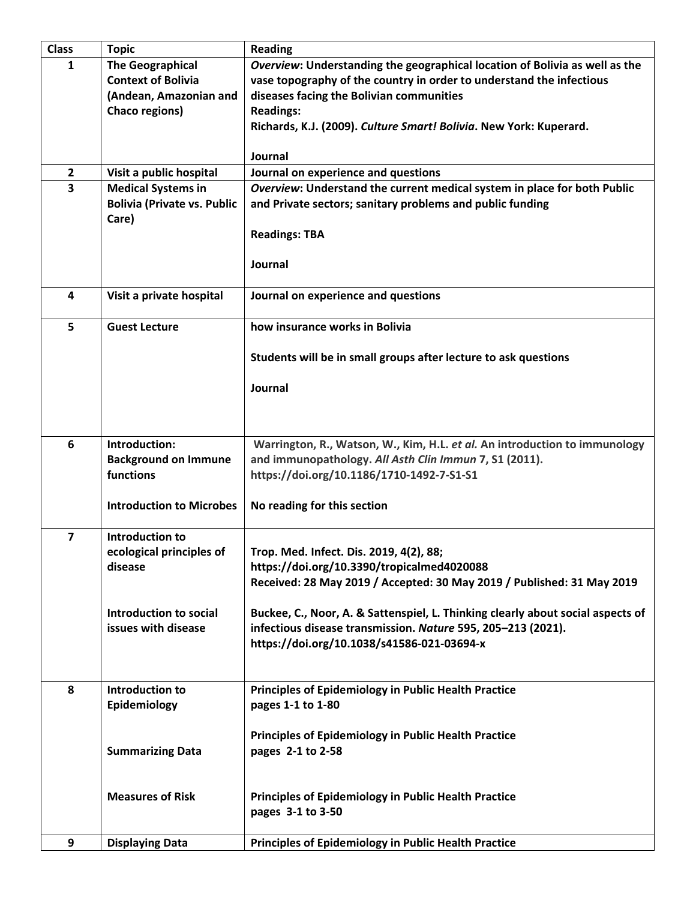| <b>Class</b>            | <b>Topic</b>                                                                                     | <b>Reading</b>                                                                                                                                                                                                                                                                            |
|-------------------------|--------------------------------------------------------------------------------------------------|-------------------------------------------------------------------------------------------------------------------------------------------------------------------------------------------------------------------------------------------------------------------------------------------|
| 1                       | <b>The Geographical</b><br><b>Context of Bolivia</b><br>(Andean, Amazonian and<br>Chaco regions) | Overview: Understanding the geographical location of Bolivia as well as the<br>vase topography of the country in order to understand the infectious<br>diseases facing the Bolivian communities<br><b>Readings:</b><br>Richards, K.J. (2009). Culture Smart! Bolivia. New York: Kuperard. |
|                         |                                                                                                  | Journal                                                                                                                                                                                                                                                                                   |
| $\overline{2}$          | Visit a public hospital                                                                          | Journal on experience and questions                                                                                                                                                                                                                                                       |
| 3                       | <b>Medical Systems in</b><br><b>Bolivia (Private vs. Public</b><br>Care)                         | Overview: Understand the current medical system in place for both Public<br>and Private sectors; sanitary problems and public funding<br><b>Readings: TBA</b><br>Journal                                                                                                                  |
| 4                       | Visit a private hospital                                                                         | Journal on experience and questions                                                                                                                                                                                                                                                       |
| 5                       | <b>Guest Lecture</b>                                                                             | how insurance works in Bolivia                                                                                                                                                                                                                                                            |
|                         |                                                                                                  | Students will be in small groups after lecture to ask questions                                                                                                                                                                                                                           |
|                         |                                                                                                  | Journal                                                                                                                                                                                                                                                                                   |
| 6                       | Introduction:<br><b>Background on Immune</b><br>functions                                        | Warrington, R., Watson, W., Kim, H.L. et al. An introduction to immunology<br>and immunopathology. All Asth Clin Immun 7, S1 (2011).<br>https://doi.org/10.1186/1710-1492-7-S1-S1                                                                                                         |
|                         | <b>Introduction to Microbes</b>                                                                  | No reading for this section                                                                                                                                                                                                                                                               |
| $\overline{\mathbf{z}}$ | Introduction to<br>ecological principles of<br>disease                                           | Trop. Med. Infect. Dis. 2019, 4(2), 88;<br>https://doi.org/10.3390/tropicalmed4020088<br>Received: 28 May 2019 / Accepted: 30 May 2019 / Published: 31 May 2019                                                                                                                           |
|                         | Introduction to social<br>issues with disease                                                    | Buckee, C., Noor, A. & Sattenspiel, L. Thinking clearly about social aspects of<br>infectious disease transmission. Nature 595, 205-213 (2021).<br>https://doi.org/10.1038/s41586-021-03694-x                                                                                             |
| 8                       | <b>Introduction to</b><br>Epidemiology                                                           | <b>Principles of Epidemiology in Public Health Practice</b><br>pages 1-1 to 1-80                                                                                                                                                                                                          |
|                         | <b>Summarizing Data</b>                                                                          | <b>Principles of Epidemiology in Public Health Practice</b><br>pages 2-1 to 2-58                                                                                                                                                                                                          |
|                         | <b>Measures of Risk</b>                                                                          | <b>Principles of Epidemiology in Public Health Practice</b><br>pages 3-1 to 3-50                                                                                                                                                                                                          |
| 9                       | <b>Displaying Data</b>                                                                           | <b>Principles of Epidemiology in Public Health Practice</b>                                                                                                                                                                                                                               |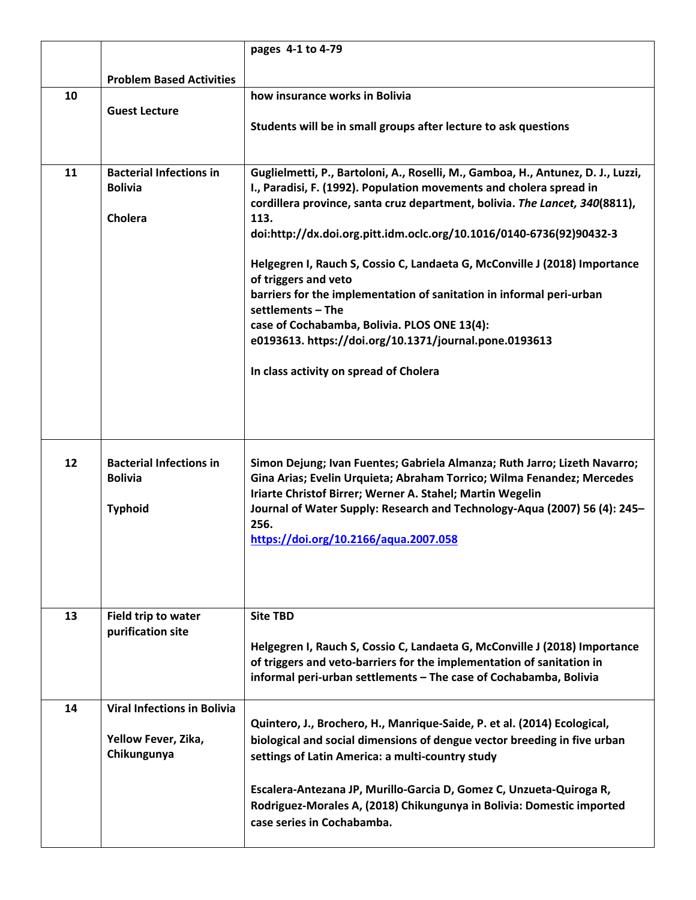|    |                                                                          | pages 4-1 to 4-79                                                                                                                                                                                                                                                                                                                                                                                                                                                                                                                                                                                                                                                             |
|----|--------------------------------------------------------------------------|-------------------------------------------------------------------------------------------------------------------------------------------------------------------------------------------------------------------------------------------------------------------------------------------------------------------------------------------------------------------------------------------------------------------------------------------------------------------------------------------------------------------------------------------------------------------------------------------------------------------------------------------------------------------------------|
|    | <b>Problem Based Activities</b>                                          |                                                                                                                                                                                                                                                                                                                                                                                                                                                                                                                                                                                                                                                                               |
| 10 |                                                                          | how insurance works in Bolivia                                                                                                                                                                                                                                                                                                                                                                                                                                                                                                                                                                                                                                                |
|    | <b>Guest Lecture</b>                                                     | Students will be in small groups after lecture to ask questions                                                                                                                                                                                                                                                                                                                                                                                                                                                                                                                                                                                                               |
| 11 | <b>Bacterial Infections in</b><br><b>Bolivia</b><br>Cholera              | Guglielmetti, P., Bartoloni, A., Roselli, M., Gamboa, H., Antunez, D. J., Luzzi,<br>I., Paradisi, F. (1992). Population movements and cholera spread in<br>cordillera province, santa cruz department, bolivia. The Lancet, 340(8811),<br>113.<br>doi:http://dx.doi.org.pitt.idm.oclc.org/10.1016/0140-6736(92)90432-3<br>Helgegren I, Rauch S, Cossio C, Landaeta G, McConville J (2018) Importance<br>of triggers and veto<br>barriers for the implementation of sanitation in informal peri-urban<br>settlements - The<br>case of Cochabamba, Bolivia. PLOS ONE 13(4):<br>e0193613. https://doi.org/10.1371/journal.pone.0193613<br>In class activity on spread of Cholera |
| 12 | <b>Bacterial Infections in</b><br><b>Bolivia</b><br><b>Typhoid</b>       | Simon Dejung; Ivan Fuentes; Gabriela Almanza; Ruth Jarro; Lizeth Navarro;<br>Gina Arias; Evelin Urquieta; Abraham Torrico; Wilma Fenandez; Mercedes<br>Iriarte Christof Birrer; Werner A. Stahel; Martin Wegelin<br>Journal of Water Supply: Research and Technology-Aqua (2007) 56 (4): 245-<br>256.<br>https://doi.org/10.2166/aqua.2007.058                                                                                                                                                                                                                                                                                                                                |
| 13 | Field trip to water<br>purification site                                 | <b>Site TBD</b><br>Helgegren I, Rauch S, Cossio C, Landaeta G, McConville J (2018) Importance<br>of triggers and veto-barriers for the implementation of sanitation in<br>informal peri-urban settlements - The case of Cochabamba, Bolivia                                                                                                                                                                                                                                                                                                                                                                                                                                   |
| 14 | <b>Viral Infections in Bolivia</b><br>Yellow Fever, Zika,<br>Chikungunya | Quintero, J., Brochero, H., Manrique-Saide, P. et al. (2014) Ecological,<br>biological and social dimensions of dengue vector breeding in five urban<br>settings of Latin America: a multi-country study<br>Escalera-Antezana JP, Murillo-Garcia D, Gomez C, Unzueta-Quiroga R,<br>Rodriguez-Morales A, (2018) Chikungunya in Bolivia: Domestic imported<br>case series in Cochabamba.                                                                                                                                                                                                                                                                                        |